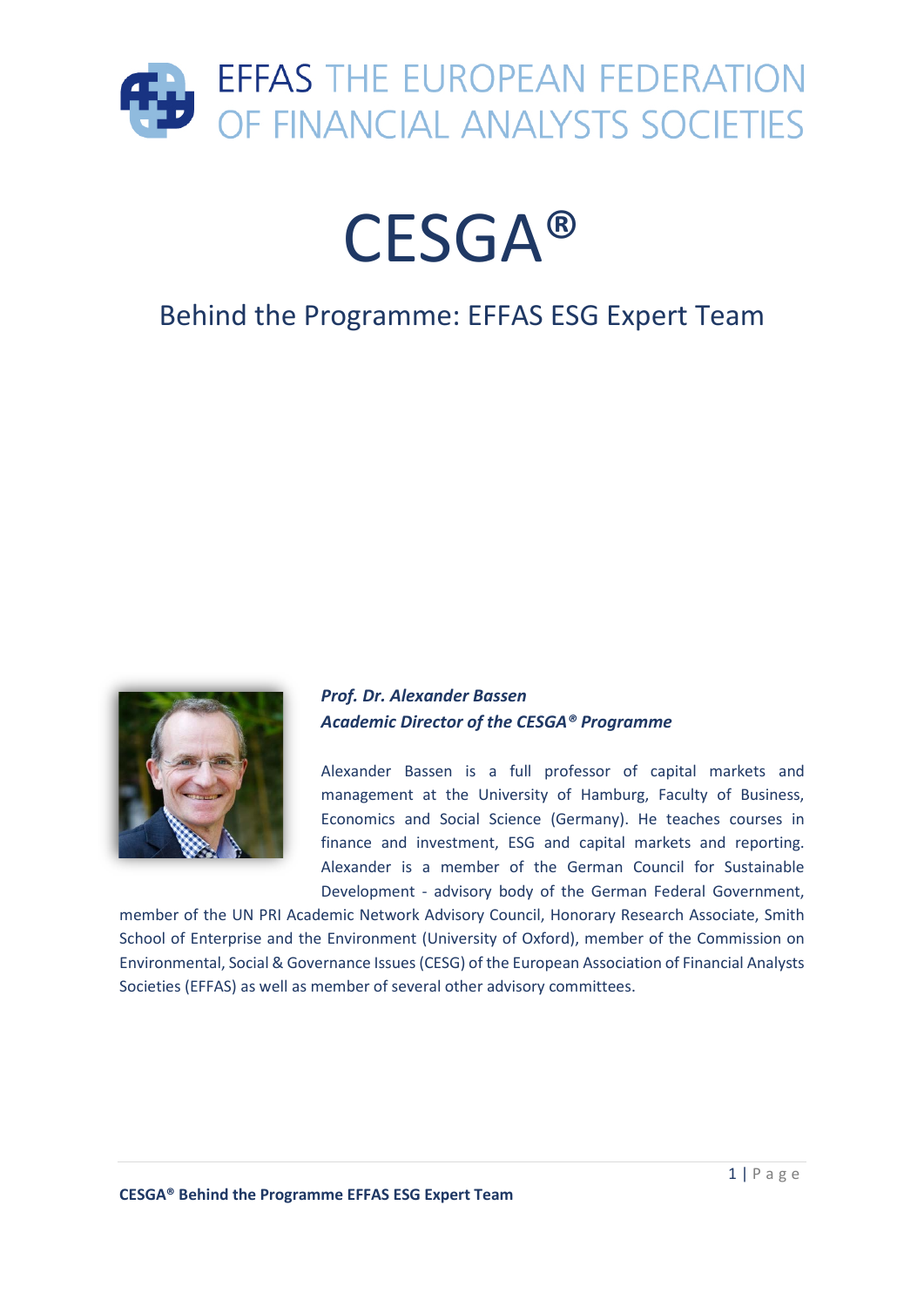

# CESGA®

### Behind the Programme: EFFAS ESG Expert Team



#### *Prof. Dr. Alexander Bassen Academic Director of the CESGA® Programme*

Alexander Bassen is a full professor of capital markets and management at the University of Hamburg, Faculty of Business, Economics and Social Science (Germany). He teaches courses in finance and investment, ESG and capital markets and reporting. Alexander is a member of the German Council for Sustainable Development - advisory body of the German Federal Government,

member of the UN PRI Academic Network Advisory Council, Honorary Research Associate, Smith School of Enterprise and the Environment (University of Oxford), member of the Commission on Environmental, Social & Governance Issues (CESG) of the European Association of Financial Analysts Societies (EFFAS) as well as member of several other advisory committees.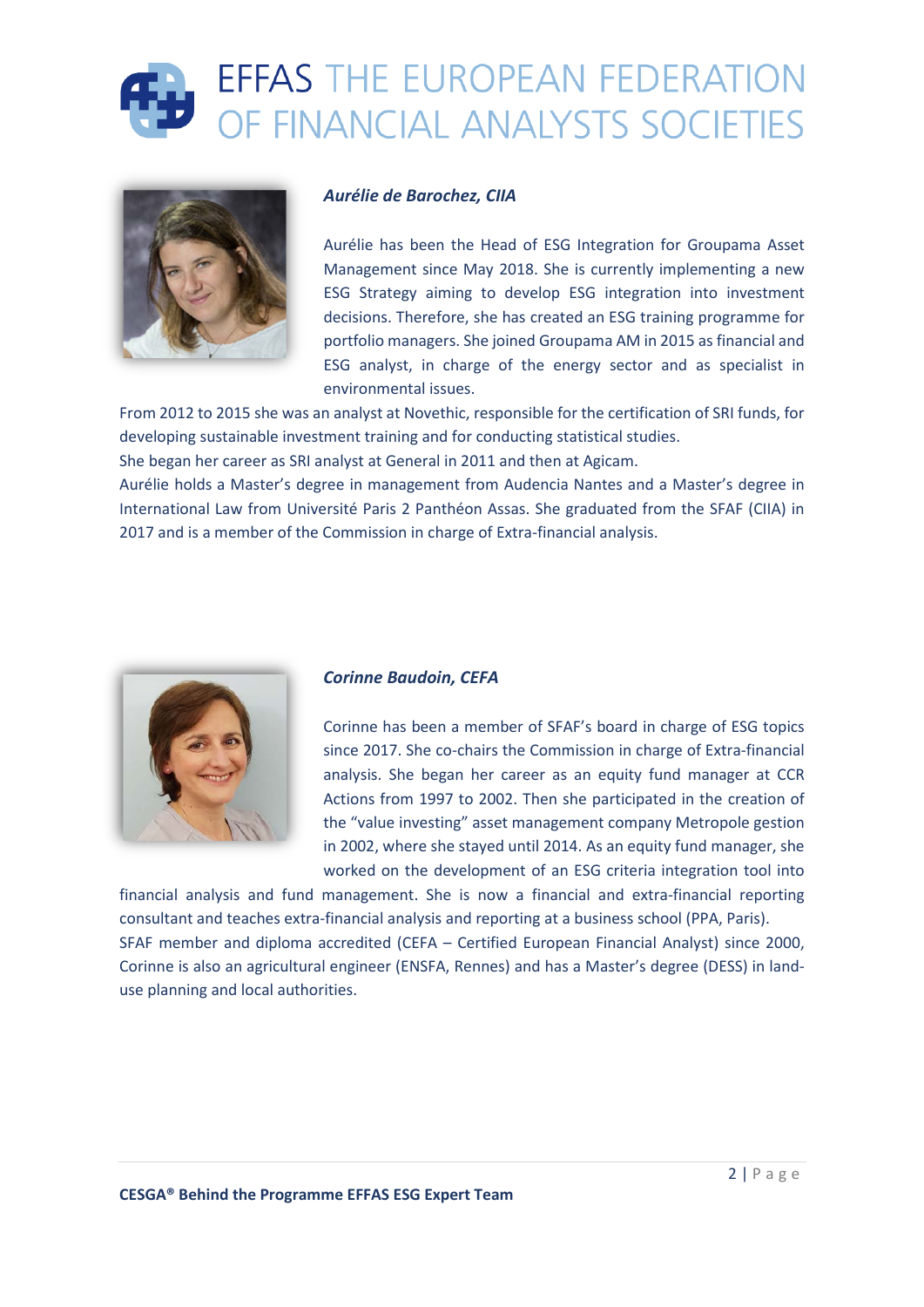



#### *Aurélie de Barochez, CIIA*

Aurélie has been the Head of ESG Integration for Groupama Asset Management since May 2018. She is currently implementing a new ESG Strategy aiming to develop ESG integration into investment decisions. Therefore, she has created an ESG training programme for portfolio managers. She joined Groupama AM in 2015 as financial and ESG analyst, in charge of the energy sector and as specialist in environmental issues.

From 2012 to 2015 she was an analyst at Novethic, responsible for the certification of SRI funds, for developing sustainable investment training and for conducting statistical studies.

She began her career as SRI analyst at General in 2011 and then at Agicam.

Aurélie holds a Master's degree in management from Audencia Nantes and a Master's degree in International Law from Université Paris 2 Panthéon Assas. She graduated from the SFAF (CIIA) in 2017 and is a member of the Commission in charge of Extra-financial analysis.



#### *Corinne Baudoin, CEFA*

Corinne has been a member of SFAF's board in charge of ESG topics since 2017. She co-chairs the Commission in charge of Extra-financial analysis. She began her career as an equity fund manager at CCR Actions from 1997 to 2002. Then she participated in the creation of the "value investing" asset management company Metropole gestion in 2002, where she stayed until 2014. As an equity fund manager, she worked on the development of an ESG criteria integration tool into

financial analysis and fund management. She is now a financial and extra-financial reporting consultant and teaches extra-financial analysis and reporting at a business school (PPA, Paris). SFAF member and diploma accredited (CEFA – Certified European Financial Analyst) since 2000, Corinne is also an agricultural engineer (ENSFA, Rennes) and has a Master's degree (DESS) in landuse planning and local authorities.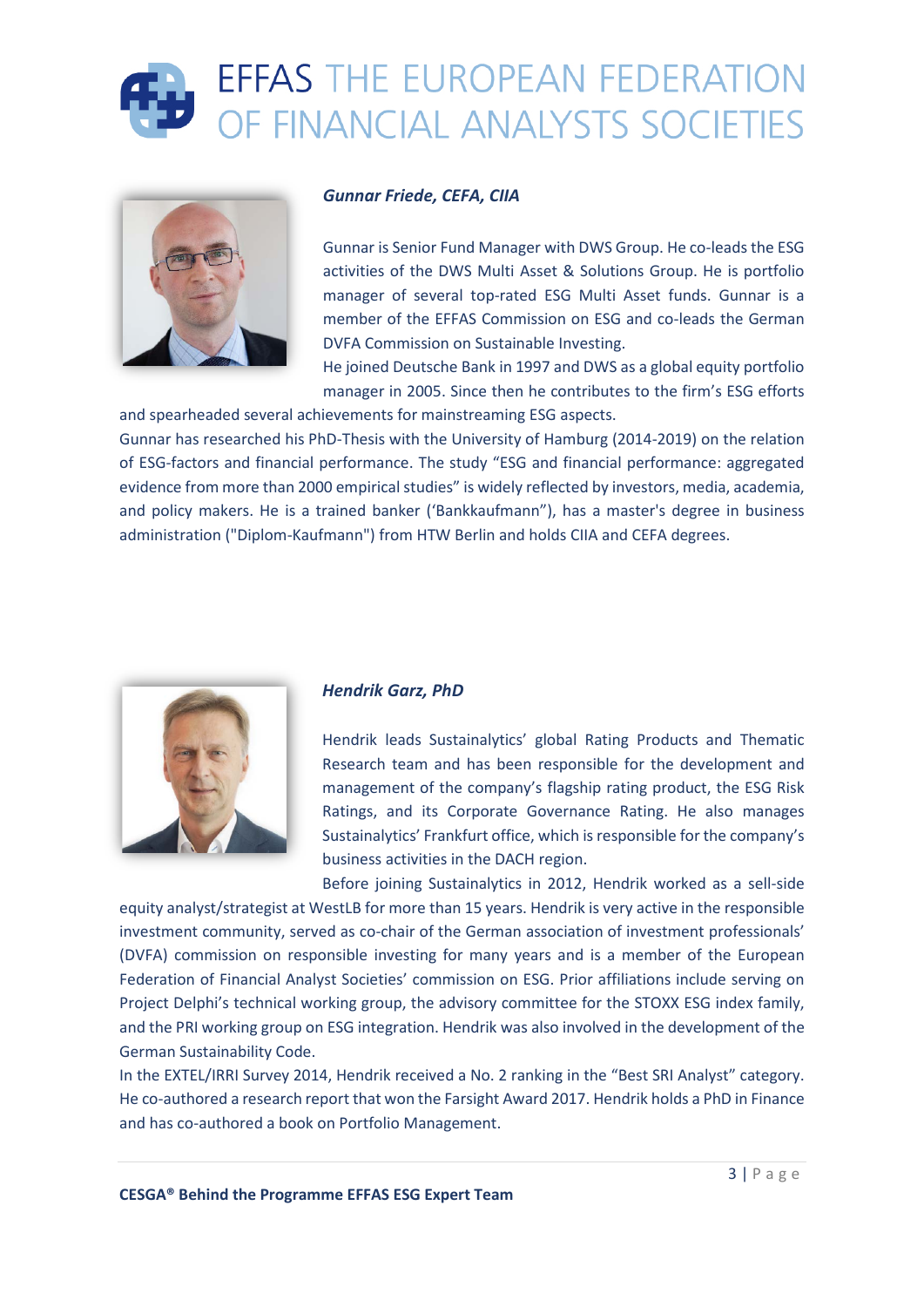



#### *Gunnar Friede, CEFA, CIIA*

Gunnar is Senior Fund Manager with DWS Group. He co-leads the ESG activities of the DWS Multi Asset & Solutions Group. He is portfolio manager of several top-rated ESG Multi Asset funds. Gunnar is a member of the EFFAS Commission on ESG and co-leads the German DVFA Commission on Sustainable Investing.

He joined Deutsche Bank in 1997 and DWS as a global equity portfolio manager in 2005. Since then he contributes to the firm's ESG efforts and spearheaded several achievements for mainstreaming ESG aspects.

Gunnar has researched his PhD-Thesis with the University of Hamburg (2014-2019) on the relation of ESG-factors and financial performance. The study "ESG and financial performance: aggregated evidence from more than 2000 empirical studies" is widely reflected by investors, media, academia, and policy makers. He is a trained banker ('Bankkaufmann"), has a master's degree in business administration ("Diplom-Kaufmann") from HTW Berlin and holds CIIA and CEFA degrees.



#### *Hendrik Garz, PhD*

Hendrik leads Sustainalytics' global Rating Products and Thematic Research team and has been responsible for the development and management of the company's flagship rating product, the ESG Risk Ratings, and its Corporate Governance Rating. He also manages Sustainalytics' Frankfurt office, which is responsible for the company's business activities in the DACH region.

Before joining Sustainalytics in 2012, Hendrik worked as a sell-side equity analyst/strategist at WestLB for more than 15 years. Hendrik is very active in the responsible investment community, served as co-chair of the German association of investment professionals' (DVFA) commission on responsible investing for many years and is a member of the European Federation of Financial Analyst Societies' commission on ESG. Prior affiliations include serving on Project Delphi's technical working group, the advisory committee for the STOXX ESG index family, and the PRI working group on ESG integration. Hendrik was also involved in the development of the German Sustainability Code.

In the EXTEL/IRRI Survey 2014, Hendrik received a No. 2 ranking in the "Best SRI Analyst" category. He co-authored a research report that won the Farsight Award 2017. Hendrik holds a PhD in Finance and has co-authored a book on Portfolio Management.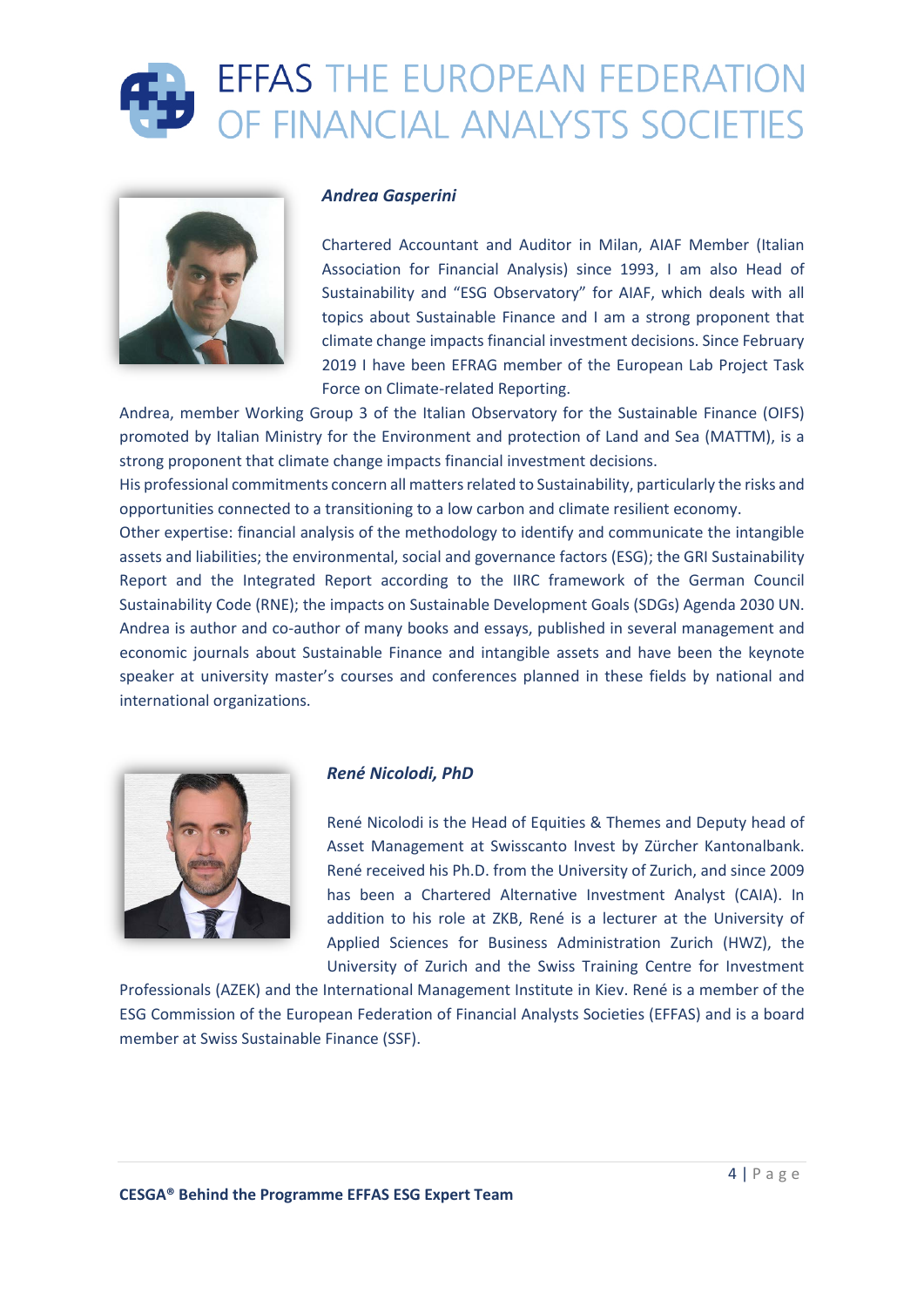### **EFFAS THE EUROPEAN FEDERATION** OF FINANCIAL ANALYSTS SOCIETIES



#### *Andrea Gasperini*

Chartered Accountant and Auditor in Milan, AIAF Member (Italian Association for Financial Analysis) since 1993, I am also Head of Sustainability and "ESG Observatory" for AIAF, which deals with all topics about Sustainable Finance and I am a strong proponent that climate change impacts financial investment decisions. Since February 2019 I have been EFRAG member of the European Lab Project Task Force on Climate-related Reporting.

Andrea, member Working Group 3 of the Italian Observatory for the Sustainable Finance (OIFS) promoted by Italian Ministry for the Environment and protection of Land and Sea (MATTM), is a strong proponent that climate change impacts financial investment decisions.

His professional commitments concern all matters related to Sustainability, particularly the risks and opportunities connected to a transitioning to a low carbon and climate resilient economy.

Other expertise: financial analysis of the methodology to identify and communicate the intangible assets and liabilities; the environmental, social and governance factors (ESG); the GRI Sustainability Report and the Integrated Report according to the IIRC framework of the German Council Sustainability Code (RNE); the impacts on Sustainable Development Goals (SDGs) Agenda 2030 UN. Andrea is author and co-author of many books and essays, published in several management and economic journals about Sustainable Finance and intangible assets and have been the keynote speaker at university master's courses and conferences planned in these fields by national and international organizations.



#### *René Nicolodi, PhD*

René Nicolodi is the Head of Equities & Themes and Deputy head of Asset Management at Swisscanto Invest by Zürcher Kantonalbank. René received his Ph.D. from the University of Zurich, and since 2009 has been a Chartered Alternative Investment Analyst (CAIA). In addition to his role at ZKB, René is a lecturer at the University of Applied Sciences for Business Administration Zurich (HWZ), the University of Zurich and the Swiss Training Centre for Investment

Professionals (AZEK) and the International Management Institute in Kiev. René is a member of the ESG Commission of the European Federation of Financial Analysts Societies (EFFAS) and is a board member at Swiss Sustainable Finance (SSF).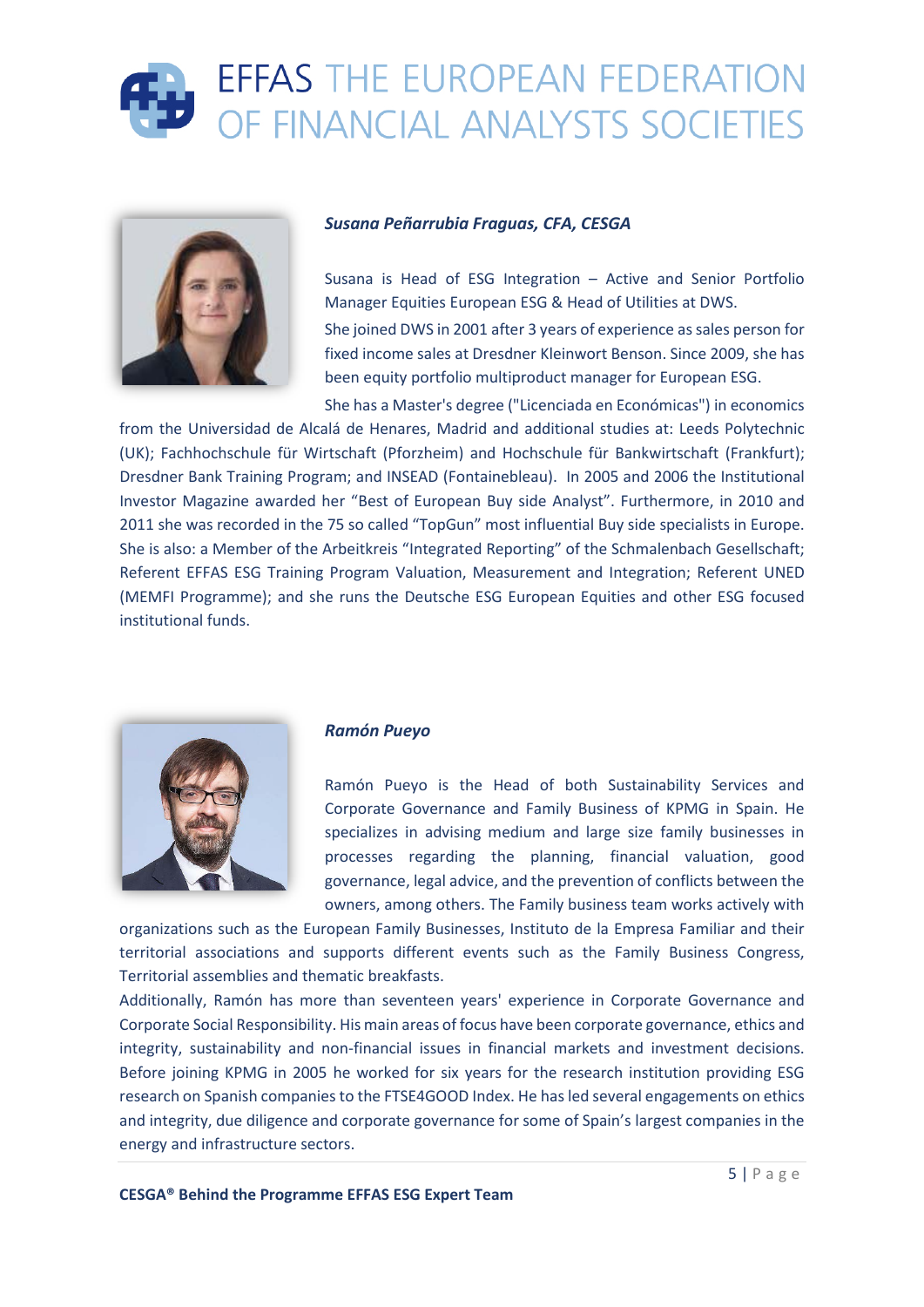## **EFFAS THE EUROPEAN FEDERATION** OF FINANCIAL ANALYSTS SOCIETIES



#### *Susana Peñarrubia Fraguas, CFA, CESGA*

Susana is Head of ESG Integration – Active and Senior Portfolio Manager Equities European ESG & Head of Utilities at DWS. She joined DWS in 2001 after 3 years of experience as sales person for fixed income sales at Dresdner Kleinwort Benson. Since 2009, she has been equity portfolio multiproduct manager for European ESG.

She has a Master's degree ("Licenciada en Económicas") in economics from the Universidad de Alcalá de Henares, Madrid and additional studies at: Leeds Polytechnic (UK); Fachhochschule für Wirtschaft (Pforzheim) and Hochschule für Bankwirtschaft (Frankfurt); Dresdner Bank Training Program; and INSEAD (Fontainebleau). In 2005 and 2006 the Institutional Investor Magazine awarded her "Best of European Buy side Analyst". Furthermore, in 2010 and 2011 she was recorded in the 75 so called "TopGun" most influential Buy side specialists in Europe. She is also: a Member of the Arbeitkreis "Integrated Reporting" of the Schmalenbach Gesellschaft; Referent EFFAS ESG Training Program Valuation, Measurement and Integration; Referent UNED (MEMFI Programme); and she runs the Deutsche ESG European Equities and other ESG focused institutional funds.



#### *Ramón Pueyo*

Ramón Pueyo is the Head of both Sustainability Services and Corporate Governance and Family Business of KPMG in Spain. He specializes in advising medium and large size family businesses in processes regarding the planning, financial valuation, good governance, legal advice, and the prevention of conflicts between the owners, among others. The Family business team works actively with

organizations such as the European Family Businesses, Instituto de la Empresa Familiar and their territorial associations and supports different events such as the Family Business Congress, Territorial assemblies and thematic breakfasts.

Additionally, Ramón has more than seventeen years' experience in Corporate Governance and Corporate Social Responsibility. His main areas of focus have been corporate governance, ethics and integrity, sustainability and non-financial issues in financial markets and investment decisions. Before joining KPMG in 2005 he worked for six years for the research institution providing ESG research on Spanish companies to the FTSE4GOOD Index. He has led several engagements on ethics and integrity, due diligence and corporate governance for some of Spain's largest companies in the energy and infrastructure sectors.